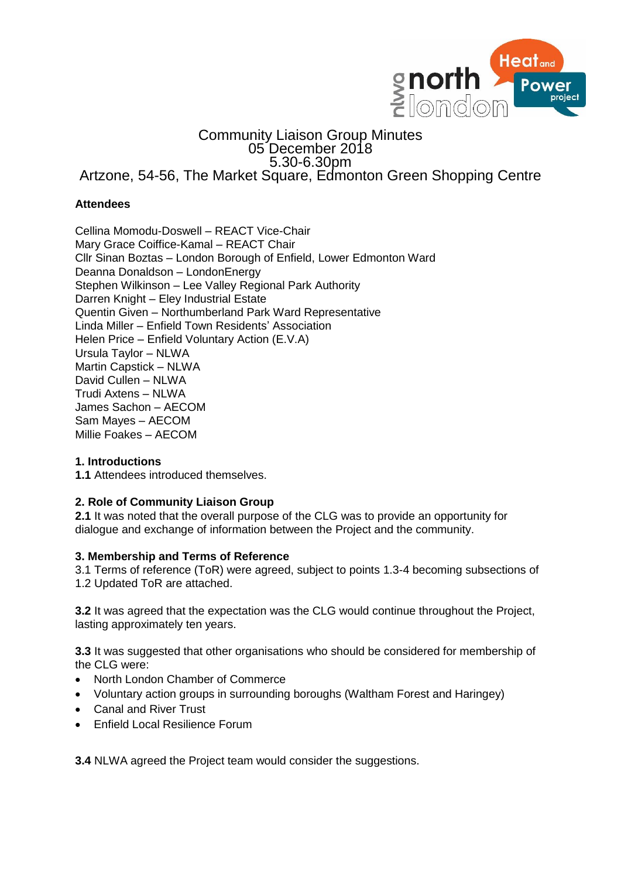

# Community Liaison Group Minutes 05 December 2018 5.30-6.30pm Artzone, 54-56, The Market Square, Edmonton Green Shopping Centre

# **Attendees**

Cellina Momodu-Doswell – REACT Vice-Chair Mary Grace Coiffice-Kamal – REACT Chair Cllr Sinan Boztas – London Borough of Enfield, Lower Edmonton Ward Deanna Donaldson – LondonEnergy Stephen Wilkinson – Lee Valley Regional Park Authority Darren Knight – Eley Industrial Estate Quentin Given – Northumberland Park Ward Representative Linda Miller – Enfield Town Residents' Association Helen Price – Enfield Voluntary Action (E.V.A) Ursula Taylor – NLWA Martin Capstick – NLWA David Cullen – NLWA Trudi Axtens – NLWA James Sachon – AECOM Sam Mayes – AECOM Millie Foakes – AECOM

## **1. Introductions**

**1.1** Attendees introduced themselves.

### **2. Role of Community Liaison Group**

**2.1** It was noted that the overall purpose of the CLG was to provide an opportunity for dialogue and exchange of information between the Project and the community.

### **3. Membership and Terms of Reference**

3.1 Terms of reference (ToR) were agreed, subject to points 1.3-4 becoming subsections of 1.2 Updated ToR are attached.

**3.2** It was agreed that the expectation was the CLG would continue throughout the Project, lasting approximately ten years.

**3.3** It was suggested that other organisations who should be considered for membership of the CLG were:

- North London Chamber of Commerce
- Voluntary action groups in surrounding boroughs (Waltham Forest and Haringey)
- Canal and River Trust
- **Enfield Local Resilience Forum**

**3.4** NLWA agreed the Project team would consider the suggestions.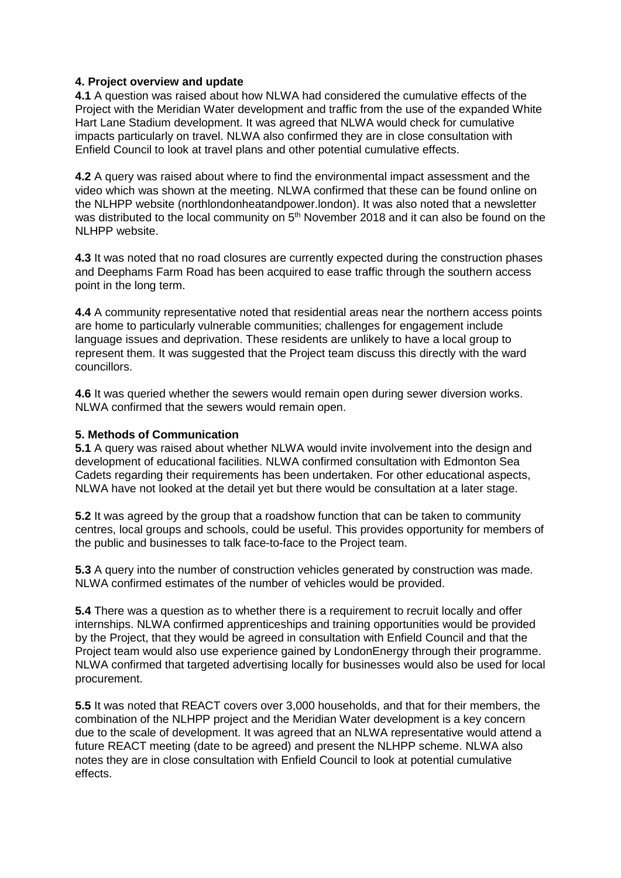#### **4. Project overview and update**

**4.1** A question was raised about how NLWA had considered the cumulative effects of the Project with the Meridian Water development and traffic from the use of the expanded White Hart Lane Stadium development. It was agreed that NLWA would check for cumulative impacts particularly on travel. NLWA also confirmed they are in close consultation with Enfield Council to look at travel plans and other potential cumulative effects.

**4.2** A query was raised about where to find the environmental impact assessment and the video which was shown at the meeting. NLWA confirmed that these can be found online on the NLHPP website (northlondonheatandpower.london). It was also noted that a newsletter was distributed to the local community on  $5<sup>th</sup>$  November 2018 and it can also be found on the NI HPP website.

**4.3** It was noted that no road closures are currently expected during the construction phases and Deephams Farm Road has been acquired to ease traffic through the southern access point in the long term.

**4.4** A community representative noted that residential areas near the northern access points are home to particularly vulnerable communities; challenges for engagement include language issues and deprivation. These residents are unlikely to have a local group to represent them. It was suggested that the Project team discuss this directly with the ward councillors.

**4.6** It was queried whether the sewers would remain open during sewer diversion works. NLWA confirmed that the sewers would remain open.

#### **5. Methods of Communication**

**5.1** A query was raised about whether NLWA would invite involvement into the design and development of educational facilities. NLWA confirmed consultation with Edmonton Sea Cadets regarding their requirements has been undertaken. For other educational aspects, NLWA have not looked at the detail yet but there would be consultation at a later stage.

**5.2** It was agreed by the group that a roadshow function that can be taken to community centres, local groups and schools, could be useful. This provides opportunity for members of the public and businesses to talk face-to-face to the Project team.

**5.3** A query into the number of construction vehicles generated by construction was made. NLWA confirmed estimates of the number of vehicles would be provided.

**5.4** There was a question as to whether there is a requirement to recruit locally and offer internships. NLWA confirmed apprenticeships and training opportunities would be provided by the Project, that they would be agreed in consultation with Enfield Council and that the Project team would also use experience gained by LondonEnergy through their programme. NLWA confirmed that targeted advertising locally for businesses would also be used for local procurement.

**5.5** It was noted that REACT covers over 3,000 households, and that for their members, the combination of the NLHPP project and the Meridian Water development is a key concern due to the scale of development. It was agreed that an NLWA representative would attend a future REACT meeting (date to be agreed) and present the NLHPP scheme. NLWA also notes they are in close consultation with Enfield Council to look at potential cumulative effects.